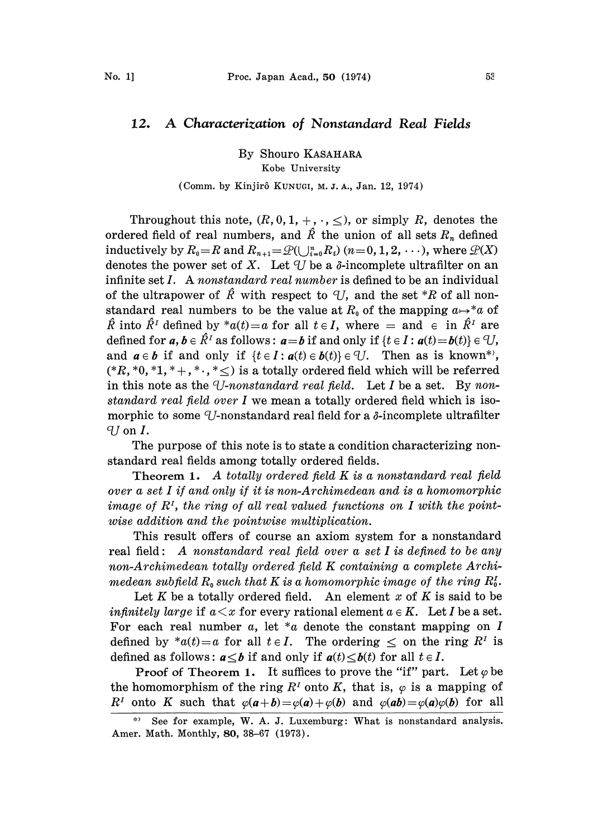## 12. A Characterization of Nonstandard Real Fields

By Shouro KASAHARA Kobe University

## (Comm. by Kinjirô KUNUGI, M. J. A., Jan. 12, 1974)

Throughout this note,  $(R, 0, 1, +, \cdot, \leq)$ , or simply R, denotes the ordered field of real numbers, and  $\hat{R}$  the union of all sets  $R_n$  defined inductively by  $R_0=R$  and  $R_{n+1}=\mathcal{Q}(\bigcup_{i=0}^nR_i)$   $(n = 0, 1, 2, \dots)$ , where  $\mathcal{Q}(X)$ denotes the power set of X. Let U be a  $\delta$ -incomplete ultrafilter on an infinite set  $I$ . A nonstandard real number is defined to be an individual of the ultrapower of  $\hat{R}$  with respect to  $\hat{U}$ , and the set \*R of all nonstandard real numbers to be the value at  $R_0$  of the mapping  $a \mapsto^* a$  of  $\hat{R}$  into  $\hat{R}$ <sup>t</sup> defined by \*a(t) = a for all t \e I, where = and \e in  $\hat{R}$ <sup>t</sup> are defined for  $a, b \in \hat{R}^I$  as follows:  $a=b$  if and only if  $\{t \in I : a(t)=b(t)\} \in \mathcal{U}$ , and  $a \in b$  if and only if  $\{t \in I : a(t) \in b(t)\} \in \mathcal{U}$ . Then as is known\*',  $(*R, *0, *1, *+, * \cdot, * \leq)$  is a totally ordered field which will be referred in this note as the U-nonstandard real field. Let I be a set. By nonstandard real field over I we mean a totally ordered field which is isomorphic to some U-nonstandard real field for a  $\delta$ -incomplete ultrafilter  $U$  on  $I$ .

The purpose of this note is to state a condition characterizing nonstandard real fields among totally ordered fields.

Theorem 1. A totally ordered field K is a nonstandard real field over a set <sup>I</sup> if and only if it is non-Archimedean and is a homomorphic image of  $R<sup>I</sup>$ , the ring of all real valued functions on I with the pointwise addition and the pointwise multiplication.

This result offers of course an axiom system for a nonstandard real field: A nonstandard real field over a set  $I$  is defined to be any non-Archimedean totally ordered field K containing <sup>a</sup> complete Archimedean subfield  $R_0$  such that K is a homomorphic image of the ring  $R_0^I$ .

Let K be a totally ordered field. An element x of K is said to be *infinitely large* if  $a \leq x$  for every rational element  $a \in K$ . Let I be a set. For each real number a, let  $a$  denote the constant mapping on I defined by  $^*a(t)=a$  for all  $t \in I$ . The ordering  $\leq$  on the ring  $R^t$  is defined as follows:  $a \leq b$  if and only if  $a(t) \leq b(t)$  for all  $t \in I$ .

**Proof of Theorem 1.** It suffices to prove the "if" part. Let  $\varphi$  be the homomorphism of the ring  $R<sup>T</sup>$  onto K, that is,  $\varphi$  is a mapping of  $R^I$  onto K such that  $\varphi(a+b) = \varphi(a) + \varphi(b)$  and  $\varphi(ab) = \varphi(a)\varphi(b)$  for all

See for example, W. A. J. Luxemburg: What is nonstandard analysis. Amer. Math. Monthly, 80, 38-67 (1973).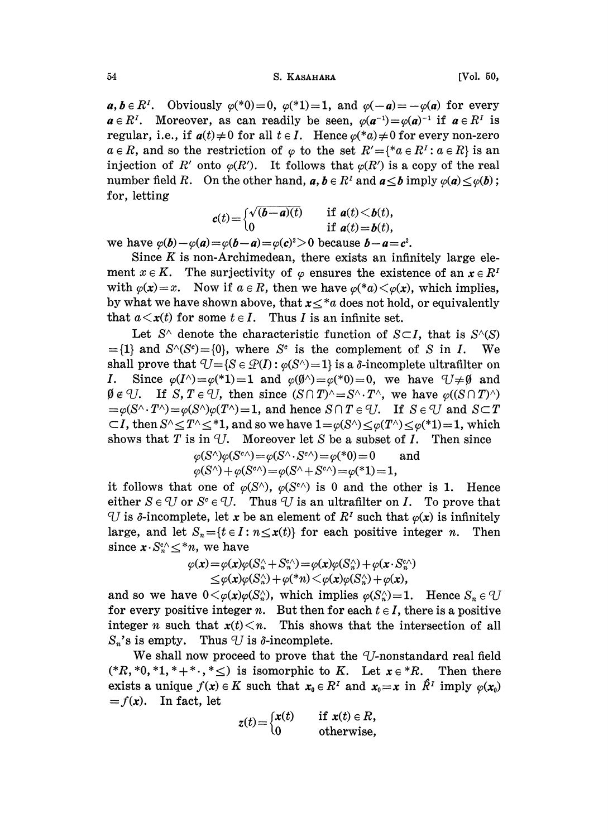## 54 S. KASAHARA [Vol. 50,

 $a, b \in R^{\prime}$ . Obviously  $\varphi$ <sup>(\*</sup>0)=0,  $\varphi$ <sup>(\*</sup>1)=1, and  $\varphi$ (-a)=- $\varphi$ (a) for every  $a \in R^{\gamma}$ . Moreover, as can readily be seen,  $\varphi(a^{-1}) = \varphi(a)^{-1}$  if  $a \in R^{\gamma}$  is  $a \in R^I$ . Moreover, as can readily be seen,  $\varphi(a^{-1}) = \varphi(a)^{-1}$  if  $a \in R^I$  is regular, i.e., if  $a(t) \neq 0$  for all  $t \in I$ . Hence  $\varphi({*}a) \neq 0$  for every non-zero  $a \in R$ , and so the restriction of  $\varphi$  to the set  $R' = \{^*a \in R^1 : a \in R\}$  is an injection of R' onto  $\varphi(R')$ . It follows that  $\varphi(R')$  is a copy of the real number field R. On the other hand,  $a, b \in R^I$  and  $a \leq b$  imply  $\varphi(a) \leq \varphi(b)$ ; for, letting

$$
c(t) = \begin{cases} \sqrt{(b-a)(t)} & \text{if } a(t) < b(t), \\ 0 & \text{if } a(t) = b(t), \end{cases}
$$

we have  $\varphi(b)-\varphi(a)=\varphi(b-a)=\varphi(c)^2>0$  because  $b-a=c^2$ .

Since  $K$  is non-Archimedean, there exists an infinitely large element  $x \in K$ . The surjectivity of  $\varphi$  ensures the existence of an  $x \in R^T$ with  $\varphi(x)=x$ . Now if  $a \in R$ , then we have  $\varphi(*a) \langle \varphi(x), \varphi(x) \rangle$ , which implies, by what we have shown above, that  $x \leq a$  does not hold, or equivalently that  $a \lt x(t)$  for some  $t \in I$ . Thus I is an infinite set.

Let  $S^{\wedge}$  denote the characteristic function of  $S\subset I$ , that is  $S^{\wedge}(S)$  $=$ {1} and  $S^{\wedge}(S^c) =$ {0}, where  $S^c$  is the complement of S in I. We shall prove that  $U = \{S \in \mathcal{Q}(I) : \varphi(S) = 1\}$  is a  $\delta$ -incomplete ultrafilter on *I*. Since  $\varphi(I^{\wedge})=\varphi(*1)=1$  and  $\varphi(\emptyset^{\wedge})=\varphi(*0)=0$ , we have  $\forall j\neq\emptyset$  and  $\emptyset \notin \mathcal{U}$ . If S,  $T \in \mathcal{U}$ , then since  $(S \cap T)^{\wedge} = S^{\wedge} \cdot T^{\wedge}$ , we have  $\varphi((S \cap T)^{\wedge})$  $=\varphi(S^{\wedge} \cdot T^{\wedge})=\varphi(S^{\wedge})\varphi(T^{\wedge})=1$ , and hence  $S \cap T \in U$ . If  $S \in U$  and  $S \subset T$  $\subset I$ , then  $S^{\wedge} \leq T^{\wedge} \leq^*1$ , and so we have  $1 = \varphi(S^{\wedge}) \leq \varphi(T^{\wedge}) \leq \varphi(*1) = 1$ , which shows that T is in  $\mathcal{U}$ . Moreover let S be a subset of I. Then since

$$
\varphi(S^{\wedge})\varphi(S^{c\wedge}) = \varphi(S^{\wedge} \cdot S^{c\wedge}) = \varphi({}^{*}0) = 0 \quad \text{and} \quad \varphi(S^{\wedge}) + \varphi(S^{c\wedge}) = \varphi(S^{\wedge} + S^{c\wedge}) = \varphi({}^{*}1) = 1,
$$

it follows that one of  $\varphi(S^{\wedge})$ ,  $\varphi(S^{\wedge})$  is 0 and the other is 1. Hence either  $S \in \mathcal{U}$  or  $S^c \in \mathcal{U}$ . Thus  $\mathcal{U}$  is an ultrafilter on I. To prove that U is  $\delta$ -incomplete, let x be an element of  $R^{\gamma}$  such that  $\varphi(x)$  is infinitely large, and let  $S_n = \{t \in I : n \leq x(t)\}\$  for each positive integer n. Then since  $x \cdot S_n^{c} \leq^* n$ , we have

$$
\varphi(\mathbf{x})\!=\!\varphi(\mathbf{x})\varphi(S_n^\wedge\!+\!S_n^{e_\wedge})\!=\!\varphi(\mathbf{x})\varphi(S_n^\wedge)\!+\!\varphi(\mathbf{x}\!\cdot\!S_n^{e_\wedge})\\ \le\!\varphi(\mathbf{x})\varphi(S_n^\wedge)\!+\!\varphi(\mathbf{x})\!<\!\varphi(\mathbf{x})\varphi(S_n^\wedge)\!+\!\varphi(\mathbf{x}),
$$

and so we have  $0 \lt \varphi(x) \varphi(S_n)$ , which implies  $\varphi(S_n) = 1$ . Hence  $S_n \in U$ for every positive integer n. But then for each  $t \in I$ , there is a positive integer n such that  $x(t) \leq n$ . This shows that the intersection of all  $S_n$ 's is empty. Thus  $U$  is  $\delta$ -incomplete.

We shall now proceed to prove that the  $U$ -nonstandard real field  $(*R, *0, *1, *+*, * \leq)$  is isomorphic to K. Let  $x \in *R$ . Then there exists a unique  $f(x) \in K$  such that  $x_0 \in R^{\gamma}$  and  $x_0=x$  in  $\hat{R}^{\gamma}$  imply  $\varphi(x_0)$  $=f(x)$ . In fact, let

$$
z(t) = \begin{cases} x(t) & \text{if } x(t) \in R, \\ 0 & \text{otherwise,} \end{cases}
$$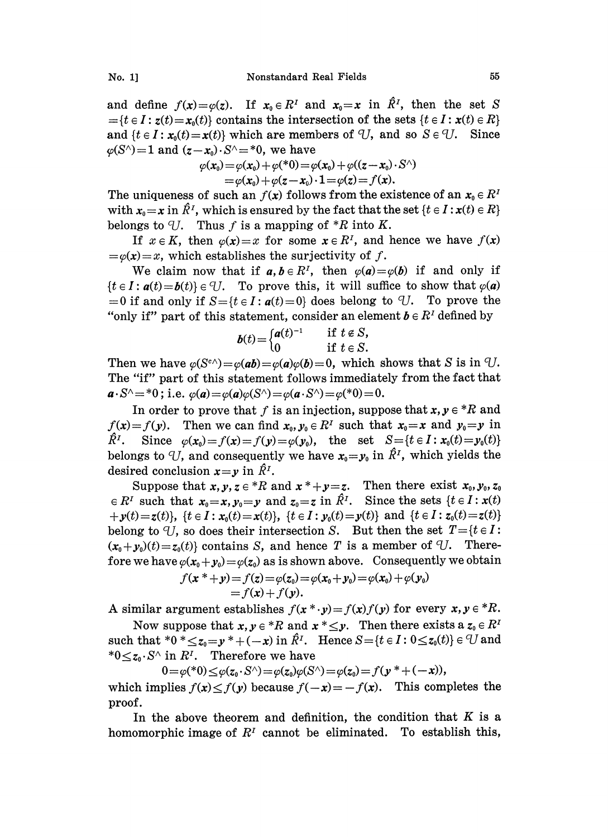and define  $f(x) = \varphi(z)$ . If  $x_0 \in R^T$  and  $x_0 = x$  in  $\hat{R}^T$ , then the set S  $=$ {t  $\in I$  :  $z(t) = x_0(t)$ } contains the intersection of the sets {t  $\in I$  :  $x(t) \in R$ } and  $\{t \in I : x_0(t) = x(t)\}$  which are members of U, and so  $S \in \mathcal{U}$ . Since  $\varphi(S^{\wedge}) = 1$  and  $(z - x_0) \cdot S^{\wedge} = *0$ , we have

$$
\varphi(\mathbf{x}_0) = \varphi(\mathbf{x}_0) + \varphi({*0}) = \varphi(\mathbf{x}_0) + \varphi((z - \mathbf{x}_0) \cdot S^{\wedge}) = \varphi(\mathbf{x}_0) + \varphi(z - \mathbf{x}_0) \cdot \mathbf{1} = \varphi(z) = f(\mathbf{x}).
$$

The uniqueness of such an  $f(x)$  follows from the existence of an  $x_0 \in R$ with  $x_0=x$  in  $\hat{R}^I$ , which is ensured by the fact that the set  $\{t \in I : x(t) \in R\}$ belongs to U. Thus f is a mapping of  $*R$  into K.

If  $x \in K$ , then  $\varphi(x)=x$  for some  $x \in R^{\gamma}$ , and hence we have  $f(x)$  $=\varphi(x)=x$ , which establishes the surjectivity of f.

We claim now that if  $a, b \in \mathbb{R}^I$ , then  $\varphi(a) = \varphi(b)$  if and only if  ${t \in I : a(t) = b(t)} \in U$ . To prove this, it will suffice to show that  $\varphi(a)$  $=0$  if and only if  $S = \{t \in I : a(t) = 0\}$  does belong to U. To prove the "only if" part of this statement, consider an element  $b \in R<sup>T</sup>$  defined by

$$
b(t) = \begin{cases} a(t)^{-1} & \text{if } t \in S, \\ 0 & \text{if } t \in S. \end{cases}
$$

Then we have  $\varphi(S^{\epsilon \wedge})=\varphi(ab)=\varphi(a)\varphi(b)=0$ , which shows that S is in U. The "if" part of this statement follows immediately from the fact that  $a \cdot S^{\wedge} = *0$ ; i.e.  $\varphi(a) = \varphi(a)\varphi(S^{\wedge}) = \varphi(a \cdot S^{\wedge}) = \varphi(*0) = 0.$ 

In order to prove that f is an injection, suppose that  $x, y \in {}^*R$  and  $f(x)=f(y)$ . Then we can find  $x_0, y_0 \in R^T$  such that  $x_0=x$  and  $y_0=y$  in  $\hat{R}^I$ . Since  $\varphi(\mathbf{x}_0) = f(\mathbf{x}) = f(\mathbf{y}) = \varphi(\mathbf{y}_0)$ , the set  $S = \{t \in I : \mathbf{x}_0(t) = \mathbf{y}_0(t)\}$ belongs to U, and consequently we have  $x_0 = y_0$  in  $\hat{R}^I$ , which yields the desired conclusion  $x=y$  in  $\hat{R}^{I}$ .

Suppose that  $x, y, z \in {}^{\ast}R$  and  $x \cdot {}^{\ast}+y=z$ . Then there exist  $x_0, y_0, z_0$  $\in R^I$  such that  $x_0=x, y_0=y$  and  $z_0=z$  in  $\hat{R}^I$ . Since the sets  $\{t \in I : x(t)\}$  $\{f(y) = z(t)\}\text{, } \{t \in I : x_0(t) = x(t)\}\text{, } \{t \in I : y_0(t) = y(t)\}\text{ and } \{t \in I : z_0(t) = z(t)\}\text{.}$ belong to U, so does their intersection S. But then the set  $T = {t \in I:}$  $(x_0+y_0)(t)=z_0(t)$  contains S, and hence T is a member of U. Therefore we have  $\varphi(x_0+y_0) = \varphi(z_0)$  as is shown above. Consequently we obtain

$$
f(x^*+y) = f(z) = \varphi(z_0) = \varphi(x_0+y_0) = \varphi(x_0) + \varphi(y_0)
$$
  
=  $f(x) + f(y)$ .

A similar argument establishes  $f(x^* \cdot y) = f(x)f(y)$  for every  $x, y \in {}^*R$ .

Now suppose that  $x, y \in {}^{\ast}R$  and  $x \times {}_{\leq}y$ . Then there exists a  $z_0 \in R^I$ such that  $*0 *_{\leq z_0=y} * +(-x)$  in  $\hat{R}^I$ . Hence  $S={t \in I : 0 \leq z_0(t)} \in U$  and \* $0 \leq z_0 \cdot S^{\wedge}$  in  $R^I$ . Therefore we have

 $0 = \varphi(*0) \leq \varphi(z_0 \cdot S^\wedge) = \varphi(z_0)\varphi(S^\wedge) = \varphi(z_0) = f(\mathbf{y}^* + (-x)),$ which implies  $f(x) < f(y)$  because  $f(-x) = -f(x)$ . This completes the proof.

In the above theorem and definition, the condition that  $K$  is a homomorphic image of  $R<sup>T</sup>$  cannot be eliminated. To establish this,